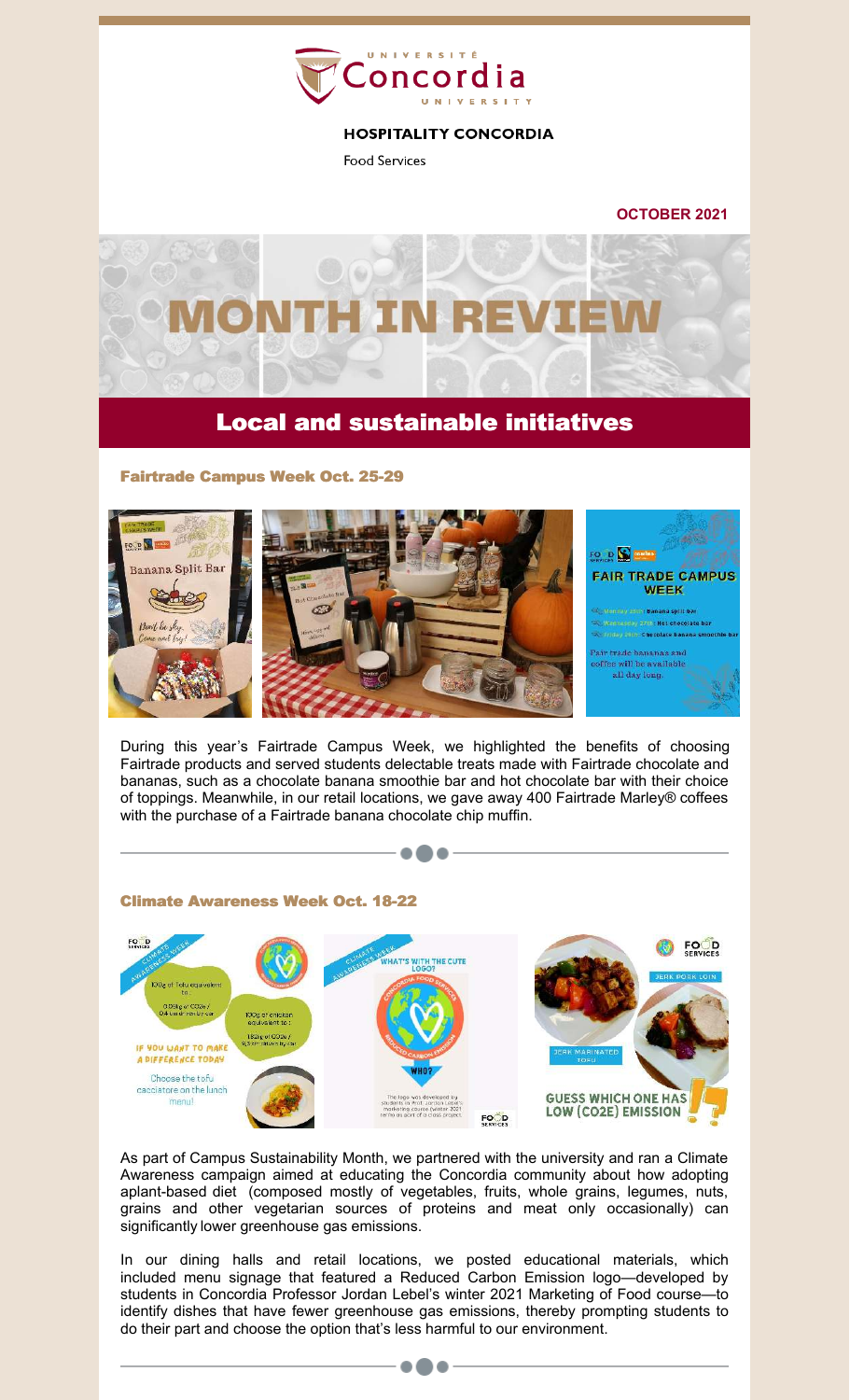

## **HOSPITALITY CONCORDIA**

**Food Services** 

**OCTOBER 2021**



# Local and sustainable initiatives

Fairtrade Campus Week Oct. 25-29



During this year's Fairtrade Campus Week, we highlighted the benefits of choosing Fairtrade products and served students delectable treats made with Fairtrade chocolate and bananas, such as a chocolate banana smoothie bar and hot chocolate bar with their choice of toppings. Meanwhile, in our retail locations, we gave away 400 Fairtrade Marley® coffees with the purchase of a Fairtrade banana chocolate chip muffin.

 $\bullet\bullet\bullet$ 



As part of Campus Sustainability Month, we partnered with the university and ran a Climate Awareness campaign aimed at educating the Concordia community about how adopting aplant-based diet (composed mostly of vegetables, fruits, whole grains, legumes, nuts, grains and other vegetarian sources of proteins and meat only occasionally) can significantly lower greenhouse gas emissions.

In our dining halls and retail locations, we posted educational materials, which included menu signage that featured a Reduced Carbon Emission logo—developed by students in Concordia Professor Jordan Lebel's winter 2021 Marketing of Food course—to identify dishes that have fewer greenhouse gas emissions, thereby prompting students to do their part and choose the option that's less harmful to our environment.

 $\bullet\bullet\bullet$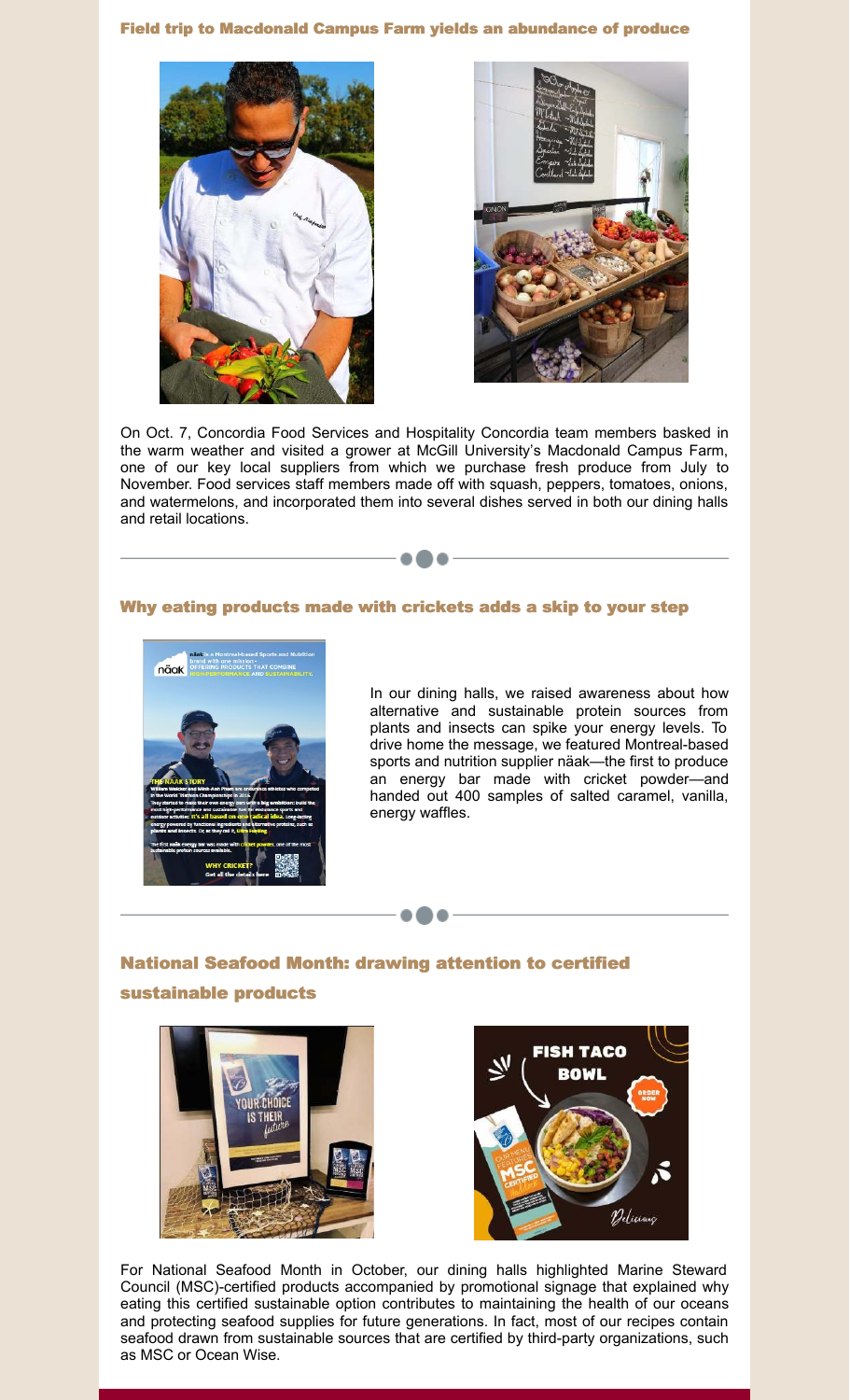### Field trip to Macdonald Campus Farm yields an abundance of produce





On Oct. 7, Concordia Food Services and Hospitality Concordia team members basked in the warm weather and visited a grower at McGill University's Macdonald Campus Farm, one of our key local suppliers from which we purchase fresh produce from July to November. Food services staff members made off with squash, peppers, tomatoes, onions, and watermelons, and incorporated them into several dishes served in both our dining halls and retail locations.

---

### Why eating products made with crickets adds a skip to your step



In our dining halls, we raised awareness about how alternative and sustainable protein sources from plants and insects can spike your energy levels. To drive home the message, we featured Montreal-based sports and nutrition supplier näak—the first to produce an energy bar made with cricket powder—and handed out 400 samples of salted caramel, vanilla, energy waffles.

# National Seafood Month: drawing attention to certified sustainable products

...





For National Seafood Month in October, our dining halls highlighted Marine Steward Council (MSC)-certified products accompanied by promotional signage that explained why eating this certified sustainable option contributes to maintaining the health of our oceans and protecting seafood supplies for future generations. In fact, most of our recipes contain seafood drawn from sustainable sources that are certified by third-party organizations, such as MSC or Ocean Wise.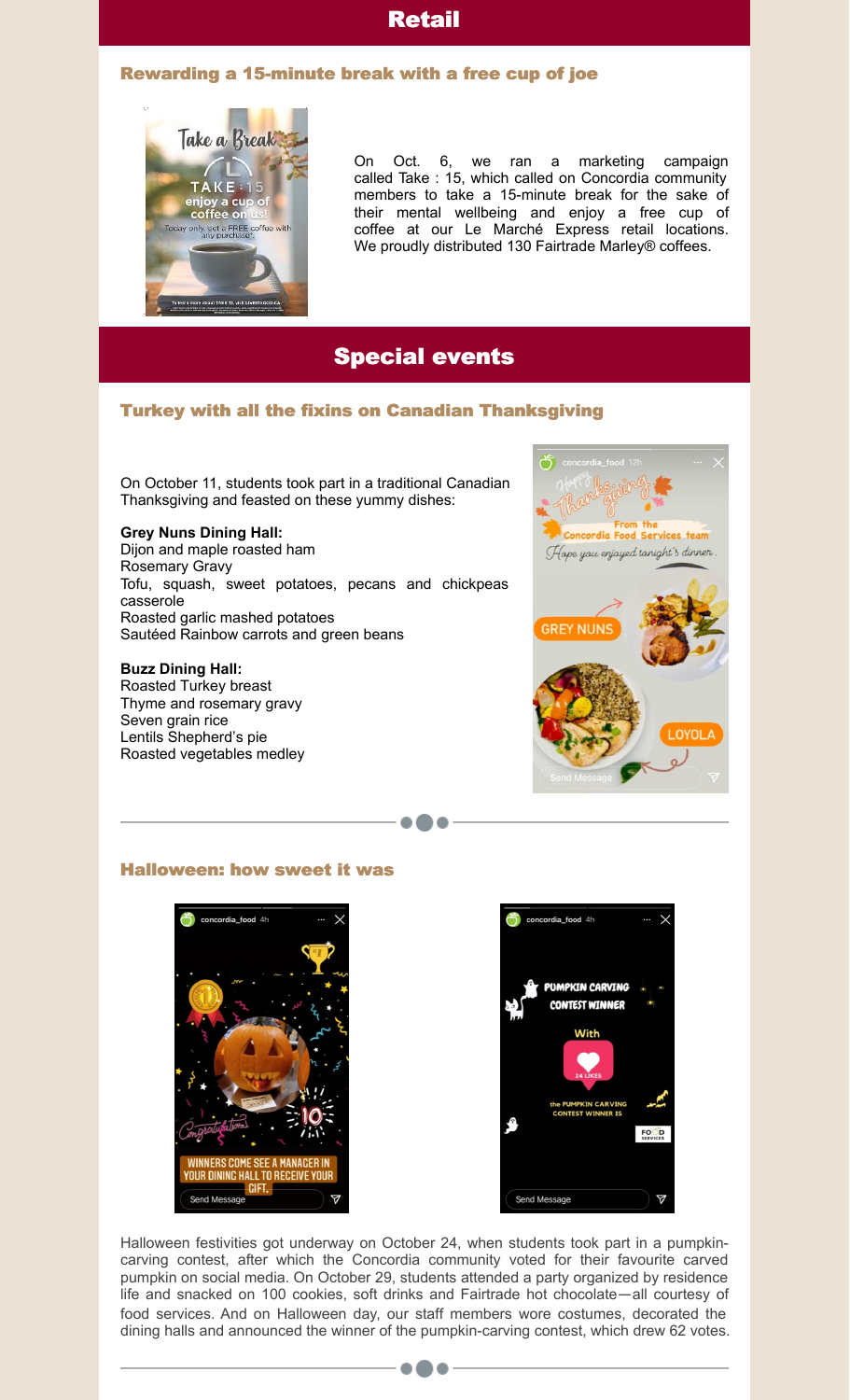## Retail

### Rewarding a 15-minute break with a free cup of joe



On Oct. 6, we ran a marketing campaign called Take : 15, which called on Concordia community members to take a 15-minute break for the sake of their mental wellbeing and enjoy a free cup of coffee at our Le Marché Express retail locations. We proudly distributed 130 Fairtrade Marley® coffees.

## Special events

- o @ o

### Turkey with all the fixins on Canadian Thanksgiving

On October 11, students took part in a traditional Canadian Thanksgiving and feasted on these yummy dishes:

#### **Grey Nuns Dining Hall:**

Dijon and maple roasted ham Rosemary Gravy Tofu, squash, sweet potatoes, pecans and chickpeas casserole Roasted garlic mashed potatoes Sautéed Rainbow carrots and green beans

#### **Buzz Dining Hall:**

Roasted Turkey breast Thyme and rosemary gravy Seven grain rice Lentils Shepherd's pie Roasted vegetables medley



Halloween: how sweet it was





Halloween festivities got underway on October 24, when students took part in a pumpkincarving contest, after which the Concordia community voted for their favourite carved pumpkin on social media. On October 29, students attended a party organized by residence life and snacked on 100 cookies, soft drinks and Fairtrade hot chocolate—all courtesy of food services. And on Halloween day, our staff members wore costumes, decorated the dining halls and announced the winner of the pumpkin-carving contest, which drew 62 votes.

...